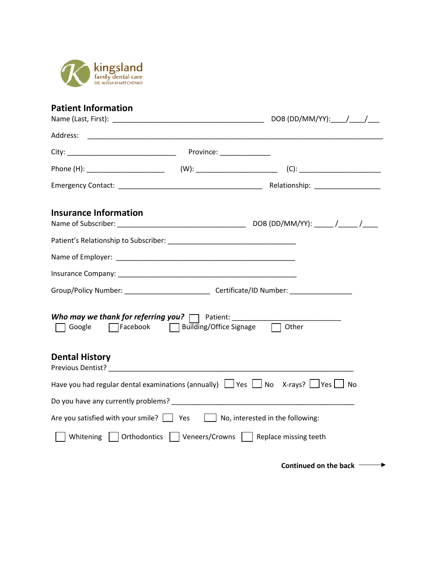

## **Patient Information**

| <b>Insurance Information</b>                                                          |                                                  |                                                                                                               |
|---------------------------------------------------------------------------------------|--------------------------------------------------|---------------------------------------------------------------------------------------------------------------|
|                                                                                       |                                                  |                                                                                                               |
|                                                                                       |                                                  |                                                                                                               |
|                                                                                       |                                                  |                                                                                                               |
|                                                                                       |                                                  |                                                                                                               |
|                                                                                       | Google <b>Facebook D</b> Building/Office Signage | Other                                                                                                         |
| <b>Dental History</b>                                                                 |                                                  |                                                                                                               |
|                                                                                       |                                                  | Have you had regular dental examinations (annually) $\Box$ Yes $\Box$ No X-rays? $\Box$ Yes $\Box$ No         |
|                                                                                       |                                                  | Do you have any currently problems? Department of the control of the control of the control of the control of |
| Are you satisfied with your smile? $\Box$ Yes $\Box$ No, interested in the following: |                                                  |                                                                                                               |
|                                                                                       |                                                  | Whitening     Orthodontics     Veneers/Crowns     Replace missing teeth                                       |
|                                                                                       |                                                  |                                                                                                               |

**Continued on the back**